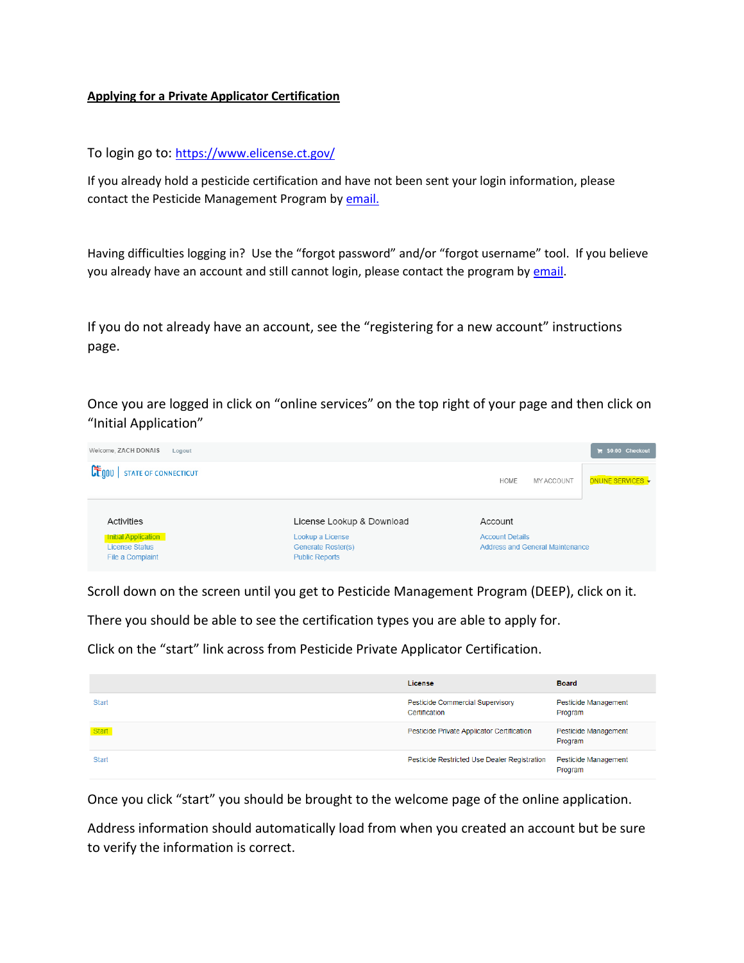## **Applying for a Private Applicator Certification**

To login go to: <https://www.elicense.ct.gov/>

If you already hold a pesticide certification and have not been sent your login information, please contact the Pesticide Management Program b[y email.](mailto:DEEP.PesticideProgram@ct.gov?subject=E-License:%20Issue%20logging%20in)

Having difficulties logging in? Use the "forgot password" and/or "forgot username" tool. If you believe you already have an account and still cannot login, please contact the program by [email.](mailto:DEEP.PesticideProgram@ct.gov?subject=E-License:%20Issue%20logging%20in)

If you do not already have an account, see the "registering for a new account" instructions page.

Once you are logged in click on "online services" on the top right of your page and then click on "Initial Application"

| Welcome, ZACH DONAIS<br>Logout                                          |                                                                 |                                                                  | $\blacktriangleright$ \$0.00 Checkout |
|-------------------------------------------------------------------------|-----------------------------------------------------------------|------------------------------------------------------------------|---------------------------------------|
| CE.gov<br><b>STATE OF CONNECTICUT</b>                                   |                                                                 | MY ACCOUNT<br><b>HOME</b>                                        | ONLINE SERVICES +                     |
| Activities                                                              | License Lookup & Download                                       | Account                                                          |                                       |
| <b>Initial Application</b><br><b>License Status</b><br>File a Complaint | Lookup a License<br>Generate Roster(s)<br><b>Public Reports</b> | <b>Account Details</b><br><b>Address and General Maintenance</b> |                                       |

Scroll down on the screen until you get to Pesticide Management Program (DEEP), click on it.

There you should be able to see the certification types you are able to apply for.

Click on the "start" link across from Pesticide Private Applicator Certification.

|              | License                                           | <b>Board</b>                    |
|--------------|---------------------------------------------------|---------------------------------|
| Start        | Pesticide Commercial Supervisory<br>Certification | Pesticide Management<br>Program |
| <b>Start</b> | Pesticide Private Applicator Certification        | Pesticide Management<br>Program |
| <b>Start</b> | Pesticide Restricted Use Dealer Registration      | Pesticide Management<br>Program |

Once you click "start" you should be brought to the welcome page of the online application.

Address information should automatically load from when you created an account but be sure to verify the information is correct.